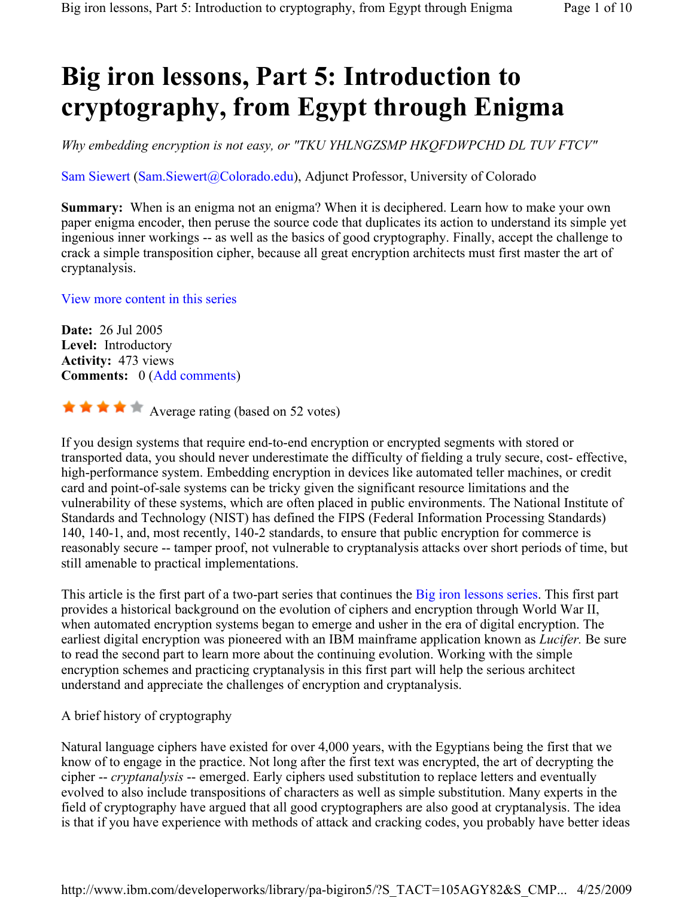# Big iron lessons, Part 5: Introduction to cryptography, from Egypt through Enigma

Why embedding encryption is not easy, or "TKU YHLNGZSMP HKQFDWPCHD DL TUV FTCV"

Sam Siewert (Sam.Siewert@Colorado.edu), Adjunct Professor, University of Colorado

Summary: When is an enigma not an enigma? When it is deciphered. Learn how to make your own paper enigma encoder, then peruse the source code that duplicates its action to understand its simple yet ingenious inner workings -- as well as the basics of good cryptography. Finally, accept the challenge to crack a simple transposition cipher, because all great encryption architects must first master the art of cryptanalysis.

# View more content in this series

Date: 26 Jul 2005 Level: Introductory Activity: 473 views Comments: 0 (Add comments)

 $\star \star \star \star$  Average rating (based on 52 votes)

If you design systems that require end-to-end encryption or encrypted segments with stored or transported data, you should never underestimate the difficulty of fielding a truly secure, cost- effective, high-performance system. Embedding encryption in devices like automated teller machines, or credit card and point-of-sale systems can be tricky given the significant resource limitations and the vulnerability of these systems, which are often placed in public environments. The National Institute of Standards and Technology (NIST) has defined the FIPS (Federal Information Processing Standards) 140, 140-1, and, most recently, 140-2 standards, to ensure that public encryption for commerce is reasonably secure -- tamper proof, not vulnerable to cryptanalysis attacks over short periods of time, but still amenable to practical implementations.

This article is the first part of a two-part series that continues the Big iron lessons series. This first part provides a historical background on the evolution of ciphers and encryption through World War II, when automated encryption systems began to emerge and usher in the era of digital encryption. The earliest digital encryption was pioneered with an IBM mainframe application known as *Lucifer*. Be sure to read the second part to learn more about the continuing evolution. Working with the simple encryption schemes and practicing cryptanalysis in this first part will help the serious architect understand and appreciate the challenges of encryption and cryptanalysis.

A brief history of cryptography

Natural language ciphers have existed for over 4,000 years, with the Egyptians being the first that we know of to engage in the practice. Not long after the first text was encrypted, the art of decrypting the cipher -- cryptanalysis -- emerged. Early ciphers used substitution to replace letters and eventually evolved to also include transpositions of characters as well as simple substitution. Many experts in the field of cryptography have argued that all good cryptographers are also good at cryptanalysis. The idea is that if you have experience with methods of attack and cracking codes, you probably have better ideas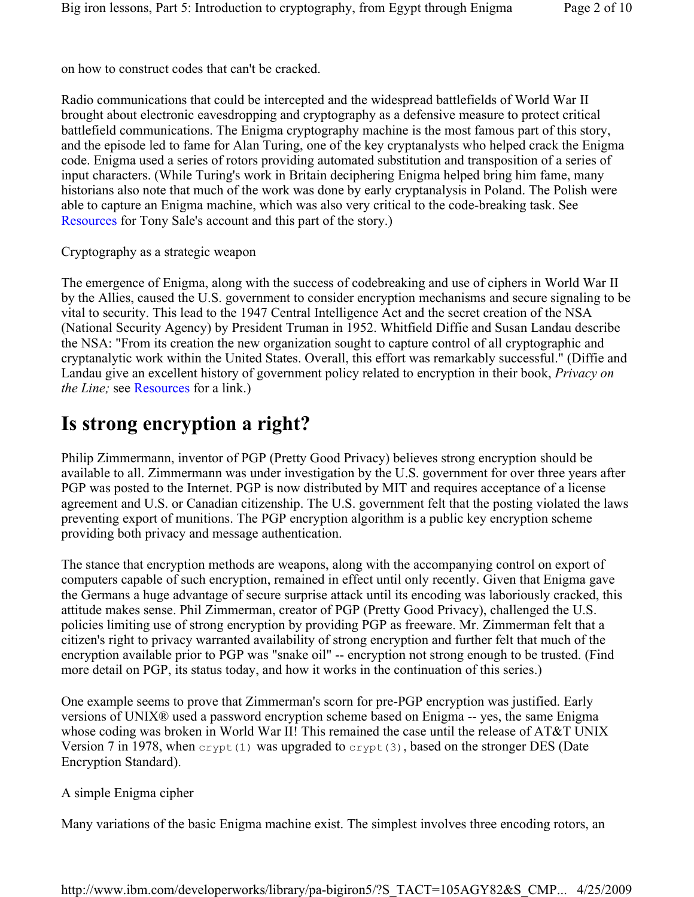on how to construct codes that can't be cracked.

Radio communications that could be intercepted and the widespread battlefields of World War II brought about electronic eavesdropping and cryptography as a defensive measure to protect critical battlefield communications. The Enigma cryptography machine is the most famous part of this story, and the episode led to fame for Alan Turing, one of the key cryptanalysts who helped crack the Enigma code. Enigma used a series of rotors providing automated substitution and transposition of a series of input characters. (While Turing's work in Britain deciphering Enigma helped bring him fame, many historians also note that much of the work was done by early cryptanalysis in Poland. The Polish were able to capture an Enigma machine, which was also very critical to the code-breaking task. See Resources for Tony Sale's account and this part of the story.)

Cryptography as a strategic weapon

The emergence of Enigma, along with the success of codebreaking and use of ciphers in World War II by the Allies, caused the U.S. government to consider encryption mechanisms and secure signaling to be vital to security. This lead to the 1947 Central Intelligence Act and the secret creation of the NSA (National Security Agency) by President Truman in 1952. Whitfield Diffie and Susan Landau describe the NSA: "From its creation the new organization sought to capture control of all cryptographic and cryptanalytic work within the United States. Overall, this effort was remarkably successful." (Diffie and Landau give an excellent history of government policy related to encryption in their book, Privacy on the Line; see Resources for a link.)

# Is strong encryption a right?

Philip Zimmermann, inventor of PGP (Pretty Good Privacy) believes strong encryption should be available to all. Zimmermann was under investigation by the U.S. government for over three years after PGP was posted to the Internet. PGP is now distributed by MIT and requires acceptance of a license agreement and U.S. or Canadian citizenship. The U.S. government felt that the posting violated the laws preventing export of munitions. The PGP encryption algorithm is a public key encryption scheme providing both privacy and message authentication.

The stance that encryption methods are weapons, along with the accompanying control on export of computers capable of such encryption, remained in effect until only recently. Given that Enigma gave the Germans a huge advantage of secure surprise attack until its encoding was laboriously cracked, this attitude makes sense. Phil Zimmerman, creator of PGP (Pretty Good Privacy), challenged the U.S. policies limiting use of strong encryption by providing PGP as freeware. Mr. Zimmerman felt that a citizen's right to privacy warranted availability of strong encryption and further felt that much of the encryption available prior to PGP was "snake oil" -- encryption not strong enough to be trusted. (Find more detail on PGP, its status today, and how it works in the continuation of this series.)

One example seems to prove that Zimmerman's scorn for pre-PGP encryption was justified. Early versions of UNIX® used a password encryption scheme based on Enigma -- yes, the same Enigma whose coding was broken in World War II! This remained the case until the release of AT&T UNIX Version 7 in 1978, when  $\text{crypt}(1)$  was upgraded to  $\text{crypt}(3)$ , based on the stronger DES (Date Encryption Standard).

# A simple Enigma cipher

Many variations of the basic Enigma machine exist. The simplest involves three encoding rotors, an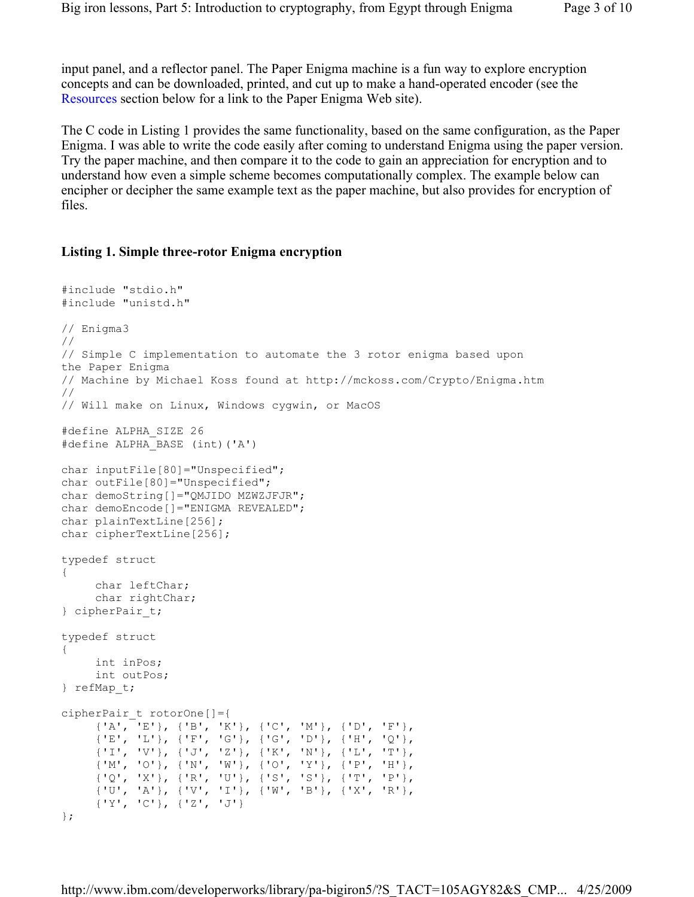input panel, and a reflector panel. The Paper Enigma machine is a fun way to explore encryption concepts and can be downloaded, printed, and cut up to make a hand-operated encoder (see the Resources section below for a link to the Paper Enigma Web site).

The C code in Listing 1 provides the same functionality, based on the same configuration, as the Paper Enigma. I was able to write the code easily after coming to understand Enigma using the paper version. Try the paper machine, and then compare it to the code to gain an appreciation for encryption and to understand how even a simple scheme becomes computationally complex. The example below can encipher or decipher the same example text as the paper machine, but also provides for encryption of files.

#### Listing 1. Simple three-rotor Enigma encryption

```
#include "stdio.h" 
#include "unistd.h" 
// Enigma3 
// 
// Simple C implementation to automate the 3 rotor enigma based upon 
the Paper Enigma 
// Machine by Michael Koss found at http://mckoss.com/Crypto/Enigma.htm 
// 
// Will make on Linux, Windows cygwin, or MacOS 
#define ALPHA_SIZE 26 
#define ALPHA_BASE (int)('A') 
char inputFile[80]="Unspecified"; 
char outFile[80]="Unspecified"; 
char demoString[]="QMJIDO MZWZJFJR";
char demoEncode[]="ENIGMA REVEALED";
char plainTextLine[256];
char cipherTextLine[256];
typedef struct 
{ 
      char leftChar; 
      char rightChar; 
} cipherPair_t; 
typedef struct 
{ 
      int inPos; 
     int outPos; 
} refMap_t; 
cipherPair_t rotorOne[]={ 
      {'A', 'E'}, {'B', 'K'}, {'C', 'M'}, {'D', 'F'}, 
      {'E', 'L'}, {'F', 'G'}, {'G', 'D'}, {'H', 'Q'}, 
      {'I', 'V'}, {'J', 'Z'}, {'K', 'N'}, {'L', 'T'}, 
      {'M', 'O'}, {'N', 'W'}, {'O', 'Y'}, {'P', 'H'}, 
      {'Q', 'X'}, {'R', 'U'}, {'S', 'S'}, {'T', 'P'}, 
      {'U', 'A'}, {'V', 'I'}, {'W', 'B'}, {'X', 'R'}, 
      {'Y', 'C'}, {'Z', 'J'} 
};
```
http://www.ibm.com/developerworks/library/pa-bigiron5/?S\_TACT=105AGY82&S\_CMP... 4/25/2009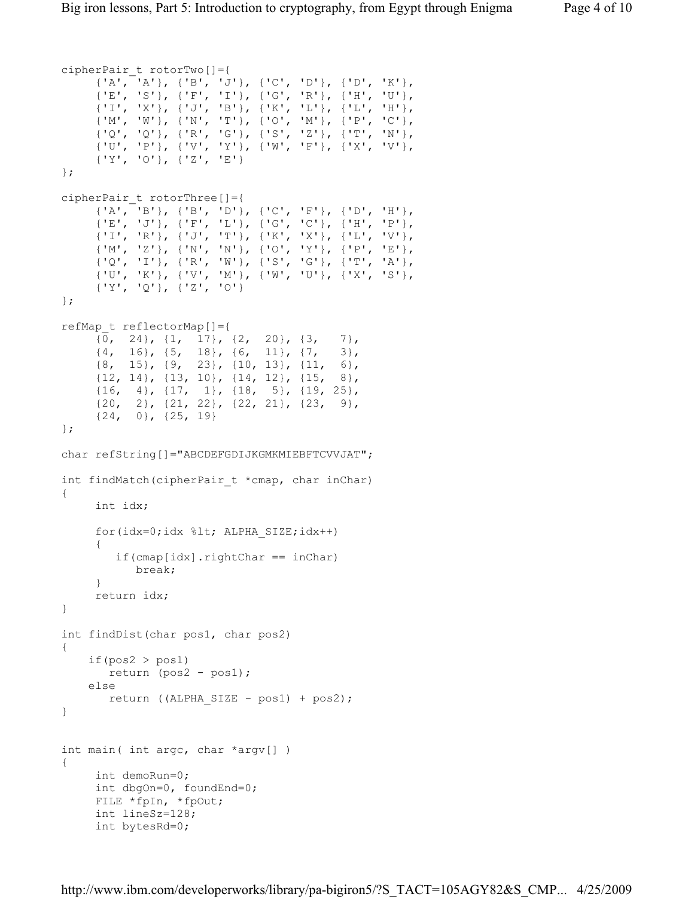```
cipherPair_t rotorTwo[]={ 
      {'A', 'A'}, {'B', 'J'}, {'C', 'D'}, {'D', 'K'}, 
      {'E', 'S'}, {'F', 'I'}, {'G', 'R'}, {'H', 'U'}, 
      {'I', 'X'}, {'J', 'B'}, {'K', 'L'}, {'L', 'H'}, 
      {'M', 'W'}, {'N', 'T'}, {'O', 'M'}, {'P', 'C'}, 
      {'Q', 'Q'}, {'R', 'G'}, {'S', 'Z'}, {'T', 'N'}, 
      {'U', 'P'}, {'V', 'Y'}, {'W', 'F'}, {'X', 'V'}, 
      {'Y', 'O'}, {'Z', 'E'} 
cipherPair_t rotorThree[]={ 
      {'A', 'B'}, {'B', 'D'}, {'C', 'F'}, {'D', 'H'}, 
      {'E', 'J'}, {'F', 'L'}, {'G', 'C'}, {'H', 'P'}, 
      {'I', 'R'}, {'J', 'T'}, {'K', 'X'}, {'L', 'V'}, 
      {'M', 'Z'}, {'N', 'N'}, {'O', 'Y'}, {'P', 'E'}, 
      {'Q', 'I'}, {'R', 'W'}, {'S', 'G'}, {'T', 'A'}, 
      {'U', 'K'}, {'V', 'M'}, {'W', 'U'}, {'X', 'S'}, 
      {'Y', 'Q'}, {'Z', 'O'} 
refMap_t reflectorMap[]={ 
     {0, 24}, {1, 17}, {2, 20}, {3, 7},<br>{4, 16}, {5, 18}, {6, 11}, {7, 3},
           {4, 16}, {5, 18}, {6, 11}, {7, 3}, 
     \{8, 15\}, \{9, 23\}, \{10, 13\}, \{11, 6\}, {12, 14}, {13, 10}, {14, 12}, {15, 8}, 
      {16, 4}, {17, 1}, {18, 5}, {19, 25}, 
      {20, 2}, {21, 22}, {22, 21}, {23, 9}, 
      {24, 0}, {25, 19} 
char refString[]="ABCDEFGDIJKGMKMIEBFTCVVJAT";
int findMatch(cipherPair t *cmap, char inChar)
      int idx; 
      for(idx=0;idx %lt; ALPHA_SIZE;idx++) 
      { 
         if(cmap[idx].rightChar == inChar) 
            break; 
      } 
      return idx; 
int findDist(char pos1, char pos2) 
    if(pos2 > pos1) return (pos2 - pos1); 
     else 
        return ((ALPHA_SIZE - pos1) + pos2);
```

```
int main( int argc, char *argv[] ) 
{ 
      int demoRun=0; 
      int dbgOn=0, foundEnd=0; 
      FILE *fpIn, *fpOut; 
      int lineSz=128; 
      int bytesRd=0;
```
};

};

};

{

}

{

}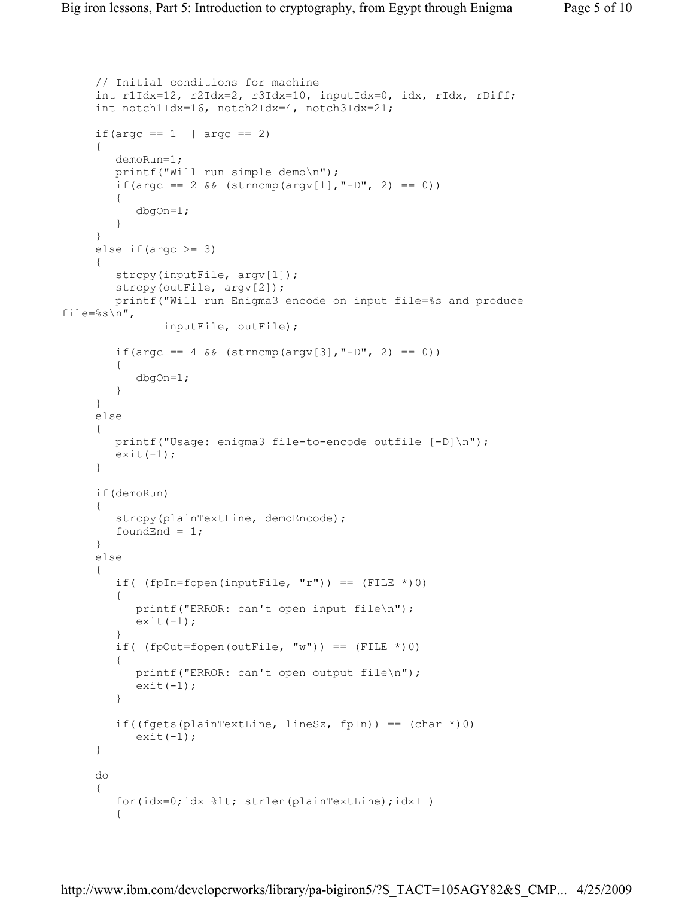```
 // Initial conditions for machine 
      int r1Idx=12, r2Idx=2, r3Idx=10, inputIdx=0, idx, rIdx, rDiff; 
      int notch1Idx=16, notch2Idx=4, notch3Idx=21; 
     if( \text{argc} == 1 || \text{argc} == 2) { 
         demoRun=1; 
         printf("Will run simple demo\n"); 
        if(argc == 2 && (strncmp(argv[1], "-D", 2) == 0))
         { 
             dbgOn=1; 
 } 
      } 
     else if(argc >= 3)
      { 
        strcpy(inputFile, argv[1]);
         strcpy(outFile, argv[2]); 
         printf("Will run Enigma3 encode on input file=%s and produce 
file=%s\n", 
                 inputFile, outFile); 
        if(argc == 4 \& (strncmp(argv[3], "-D", 2) == 0)) { 
            dbgOn=1; 
 } 
      } 
      else 
      { 
        printf("Usage: enigma3 file-to-encode outfile [-D]\n");
        exit(-1);
      } 
      if(demoRun) 
      { 
         strcpy(plainTextLine, demoEncode); 
        foundEnd = 1;
      } 
      else 
      { 
        if( (fpln=fopen(inputFile, "r")) == (FILE * ) 0) { 
            printf("ERROR: can't open input file\n"); 
           ext(-1); } 
        if( (f\nphi U = f\phi) (outFile, "w")) == (FILE * ) 0)\{ printf("ERROR: can't open output file\n"); 
           exit(-1);
         } 
        if((fgets(plainTextLine, lineSz, fpIn)) == (char *(0))
           exit(-1); } 
      do 
      { 
        for(idx=0;idx %lt; strlen(plainTextLine);idx++)
         {
```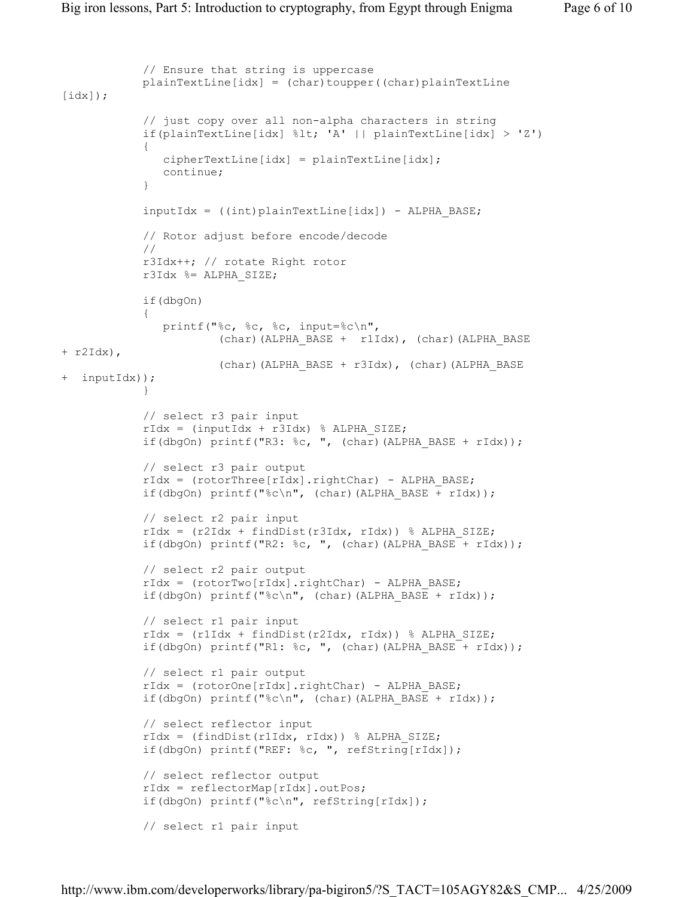```
 // Ensure that string is uppercase 
            plainTextLine[idx] = (char)toupper((char)plainTextLine\lceil \text{idx} \rceil);
             // just copy over all non-alpha characters in string 
             if(plainTextLine[idx] %lt; 'A' || plainTextLine[idx] > 'Z') 
 { 
               cipherTextLine[idx] = plainTextLine[idx]; continue; 
 } 
            inputIdx = ((int)plainTextLine(idx]) - ALPHA BASE; // Rotor adjust before encode/decode 
             // 
             r3Idx++; // rotate Right rotor 
             r3Idx %= ALPHA_SIZE; 
             if(dbgOn) 
 { 
                printf("%c, %c, %c, input=%c\n", 
                        (char)(ALPHA_BASE + r1Idx), (char)(ALPHA_BASE 
+ r2Idx), 
                        (char)(ALPHA_BASE + r3Idx), (char)(ALPHA_BASE 
+ inputIdx)); 
 } 
             // select r3 pair input 
            rIdx = (inputIdx + r3Idx) % ALPHA SIZE;
            if(dbgOn) printf("R3: %c, ", (char)(ALPHA BASE + rIdx));
             // select r3 pair output 
            rIdx = (rotorThree[rIdx].rightChar) - ALPHA BASE;if(dbgOn) printf("%c\n", (char)(ALPHA BASE + rIdx));
             // select r2 pair input 
            rIdx = (r2Idx + findDist(r3Idx, rIdx)) % ALPHA SIZE;
            if(dbgOn) printf("R2: c, ", (char)(ALPHA BASE + rIdx));
             // select r2 pair output 
            rIdx = (rotorTwo[rIdx].rightChar) - ALPHA BASE;if(dbgOn) printf("%c\n", (char)(ALPHA BASE + rIdx));
             // select r1 pair input 
             rIdx = (r1Idx + findDist(r2Idx, rIdx)) % ALPHA_SIZE; 
            if(dbgOn) printf("R1: c,", (char)(ALPHA_BASE + rIdx));
             // select r1 pair output 
             rIdx = (rotorOne[rIdx].rightChar) - ALPHA_BASE; 
            if(dbgOn) printf("%c\n", (char)(ALPHA BASE + rIdx));
             // select reflector input 
            rIdx = (findDist(r1Idx, rIdx)) % ALPHA SIZE;
             if(dbgOn) printf("REF: %c, ", refString[rIdx]); 
             // select reflector output 
             rIdx = reflectorMap[rIdx].outPos; 
             if(dbgOn) printf("%c\n", refString[rIdx]); 
             // select r1 pair input
```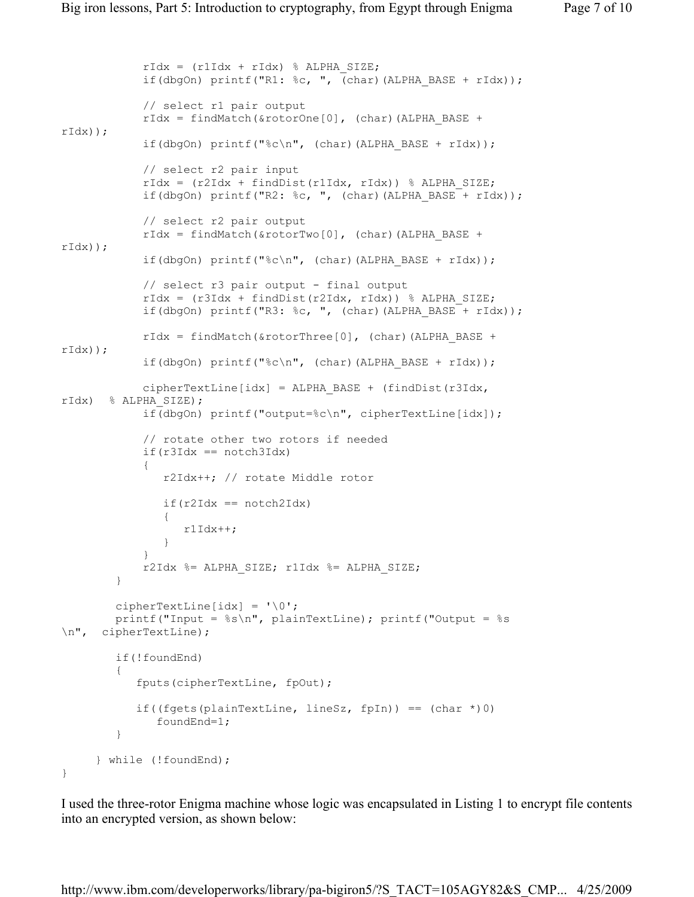```
rIdx = (r1Idx + rIdx) % ALPHA SIZE;
           if(dbgOn) printf("R1: c,", (char)(ALPHA BASE + rIdx));
            // select r1 pair output 
           rIdx = findMatch( & rotorOne[0], (char)(ALPHA_BASE +
rIdx)); 
           if(dbgOn) printf("%c\n", (char)(ALPHA BASE + rIdx));
            // select r2 pair input 
           rIdx = (r2Idx + findDist(r1Idx, rIdx)) % ALPHA SIZE;
           if(dbgOn) printf("R2: c, ", (char)(ALPHA BASE + rIdx));
            // select r2 pair output 
           rIdx = findMatch( & rotorTwo[0], (char)(ALPHA_BASE +
rIdx)); 
           if(dbgOn) printf("%c\n", (char)(ALPHA BASE + rIdx));
            // select r3 pair output - final output
            rIdx = (r3Idx + findDist(r2Idx, rIdx)) % ALPHA_SIZE; 
            if(dbgOn) printf("R3: %c, ", (char)(ALPHA_BASE + rIdx)); 
           rIdx = findMatch( & rotorThree[0], (char) (ALPHA_BASE +
rIdx)); 
           if(dbgOn) printf("%c\n", (char)(ALPHA BASE + rIdx));
            cipherTextLine[idx] = ALPHA_BASE + (findDist(r3Idx,
rIdx) % ALPHA_SIZE); 
            if(dbgOn) printf("output=%c\n", cipherTextLine[idx]); 
            // rotate other two rotors if needed 
           if(r3Idx == notch3Idx) { 
               r2Idx++; // rotate Middle rotor 
              if(r2Idx == notch2Idx) { 
                  r1Idx++; 
 } 
 } 
            r2Idx %= ALPHA_SIZE; r1Idx %= ALPHA_SIZE; 
         } 
       cipherTextLine[idx] = \sqrt{0};
       printf("Input = s\sin", plainTextLine); printf("Output = s\sin\n", cipherTextLine); 
        if(!foundEnd) 
\{ fputs(cipherTextLine, fpOut); 
           if((fgets(plainTextLine, lineSz, fpIn)) == (char *(0))
               foundEnd=1; 
 } 
      } while (!foundEnd); 
}
```
I used the three-rotor Enigma machine whose logic was encapsulated in Listing 1 to encrypt file contents into an encrypted version, as shown below:

http://www.ibm.com/developerworks/library/pa-bigiron5/?S\_TACT=105AGY82&S\_CMP... 4/25/2009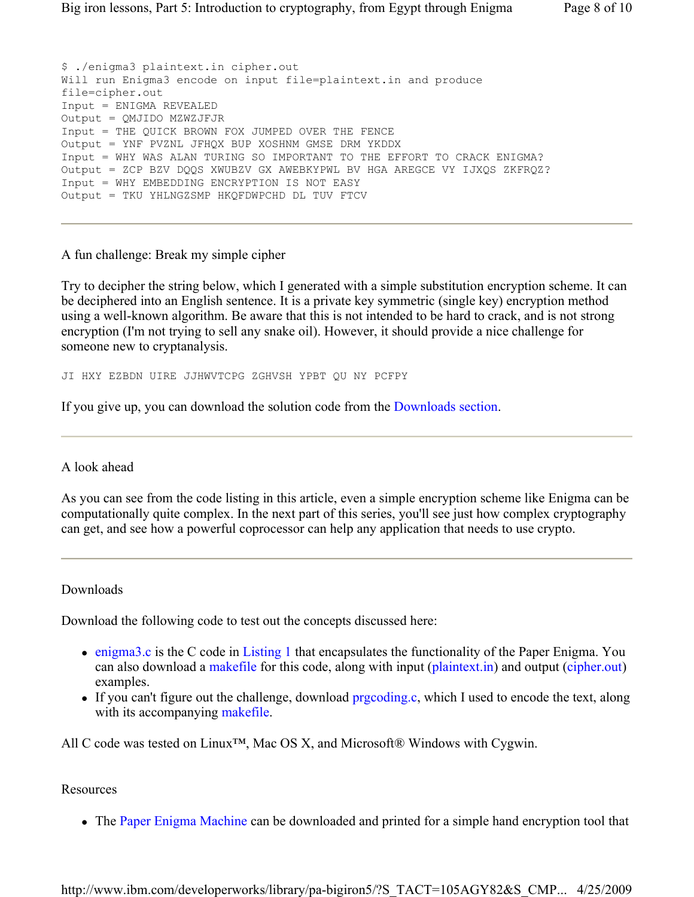\$ ./enigma3 plaintext.in cipher.out Will run Enigma3 encode on input file=plaintext.in and produce file=cipher.out Input = ENIGMA REVEALED Output = QMJIDO MZWZJFJR Input = THE QUICK BROWN FOX JUMPED OVER THE FENCE Output = YNF PVZNL JFHQX BUP XOSHNM GMSE DRM YKDDX Input = WHY WAS ALAN TURING SO IMPORTANT TO THE EFFORT TO CRACK ENIGMA? Output = ZCP BZV DQQS XWUBZV GX AWEBKYPWL BV HGA AREGCE VY IJXQS ZKFRQZ? Input = WHY EMBEDDING ENCRYPTION IS NOT EASY Output = TKU YHLNGZSMP HKQFDWPCHD DL TUV FTCV

A fun challenge: Break my simple cipher

Try to decipher the string below, which I generated with a simple substitution encryption scheme. It can be deciphered into an English sentence. It is a private key symmetric (single key) encryption method using a well-known algorithm. Be aware that this is not intended to be hard to crack, and is not strong encryption (I'm not trying to sell any snake oil). However, it should provide a nice challenge for someone new to cryptanalysis.

JI HXY EZBDN UIRE JJHWVTCPG ZGHVSH YPBT QU NY PCFPY

If you give up, you can download the solution code from the Downloads section.

#### A look ahead

As you can see from the code listing in this article, even a simple encryption scheme like Enigma can be computationally quite complex. In the next part of this series, you'll see just how complex cryptography can get, and see how a powerful coprocessor can help any application that needs to use crypto.

#### Downloads

Download the following code to test out the concepts discussed here:

- enigma3.c is the C code in Listing 1 that encapsulates the functionality of the Paper Enigma. You can also download a makefile for this code, along with input (plaintext.in) and output (cipher.out) examples.
- If you can't figure out the challenge, download prgcoding.c, which I used to encode the text, along with its accompanying makefile.

All C code was tested on Linux<sup>™</sup>, Mac OS X, and Microsoft® Windows with Cygwin.

# Resources

• The Paper Enigma Machine can be downloaded and printed for a simple hand encryption tool that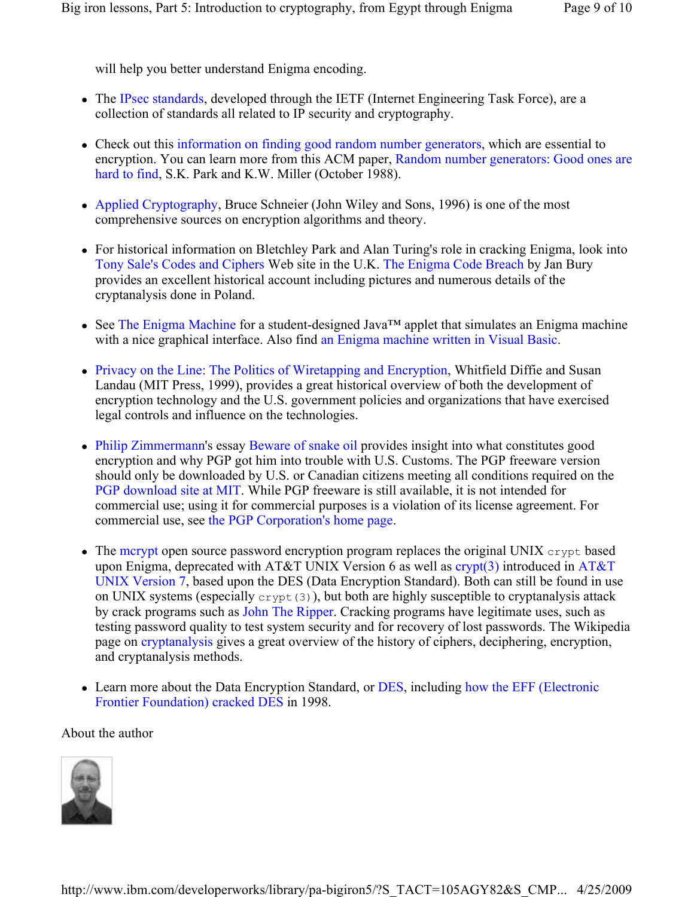will help you better understand Enigma encoding.

- The IPsec standards, developed through the IETF (Internet Engineering Task Force), are a collection of standards all related to IP security and cryptography.
- Check out this information on finding good random number generators, which are essential to encryption. You can learn more from this ACM paper, Random number generators: Good ones are hard to find, S.K. Park and K.W. Miller (October 1988).
- Applied Cryptography, Bruce Schneier (John Wiley and Sons, 1996) is one of the most comprehensive sources on encryption algorithms and theory.
- For historical information on Bletchley Park and Alan Turing's role in cracking Enigma, look into Tony Sale's Codes and Ciphers Web site in the U.K. The Enigma Code Breach by Jan Bury provides an excellent historical account including pictures and numerous details of the cryptanalysis done in Poland.
- See The Enigma Machine for a student-designed Java™ applet that simulates an Enigma machine with a nice graphical interface. Also find an Enigma machine written in Visual Basic.
- Privacy on the Line: The Politics of Wiretapping and Encryption, Whitfield Diffie and Susan Landau (MIT Press, 1999), provides a great historical overview of both the development of encryption technology and the U.S. government policies and organizations that have exercised legal controls and influence on the technologies.
- Philip Zimmermann's essay Beware of snake oil provides insight into what constitutes good encryption and why PGP got him into trouble with U.S. Customs. The PGP freeware version should only be downloaded by U.S. or Canadian citizens meeting all conditions required on the PGP download site at MIT. While PGP freeware is still available, it is not intended for commercial use; using it for commercial purposes is a violation of its license agreement. For commercial use, see the PGP Corporation's home page.
- $\bullet$  The mcrypt open source password encryption program replaces the original UNIX crypt based upon Enigma, deprecated with AT&T UNIX Version 6 as well as  $\frac{\text{crypt}(3)}{\text{introduced in AT&T}}$ UNIX Version 7, based upon the DES (Data Encryption Standard). Both can still be found in use on UNIX systems (especially  $\text{crypt}(3)$ ), but both are highly susceptible to cryptanalysis attack by crack programs such as John The Ripper. Cracking programs have legitimate uses, such as testing password quality to test system security and for recovery of lost passwords. The Wikipedia page on cryptanalysis gives a great overview of the history of ciphers, deciphering, encryption, and cryptanalysis methods.
- Learn more about the Data Encryption Standard, or DES, including how the EFF (Electronic Frontier Foundation) cracked DES in 1998.

# About the author